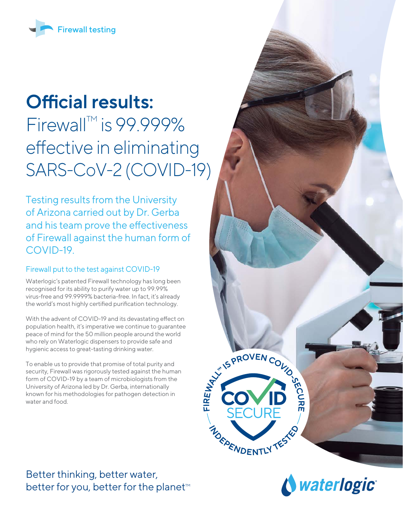

# **Official results:**

Firewall<sup>™</sup> is 99.999% effective in eliminating SARS-CoV-2 (COVID-19)

Testing results from the University of Arizona carried out by Dr. Gerba and his team prove the effectiveness of Firewall against the human form of COVID-19.

## Firewall put to the test against COVID-19

Waterlogic's patented Firewall technology has long been recognised for its ability to purify water up to 99.99% virus-free and 99.9999% bacteria-free. In fact, it's already the world's most highly certified purification technology.

With the advent of COVID-19 and its devastating effect on population health, it's imperative we continue to guarantee peace of mind for the 50 million people around the world who rely on Waterlogic dispensers to provide safe and hygienic access to great-tasting drinking water.

To enable us to provide that promise of total purity and security, Firewall was rigorously tested against the human form of COVID-19 by a team of microbiologists from the University of Arizona led by Dr. Gerba, internationally known for his methodologies for pathogen detection in water and food.

Better thinking, better water, better for you, better for the planet<sup>™</sup>